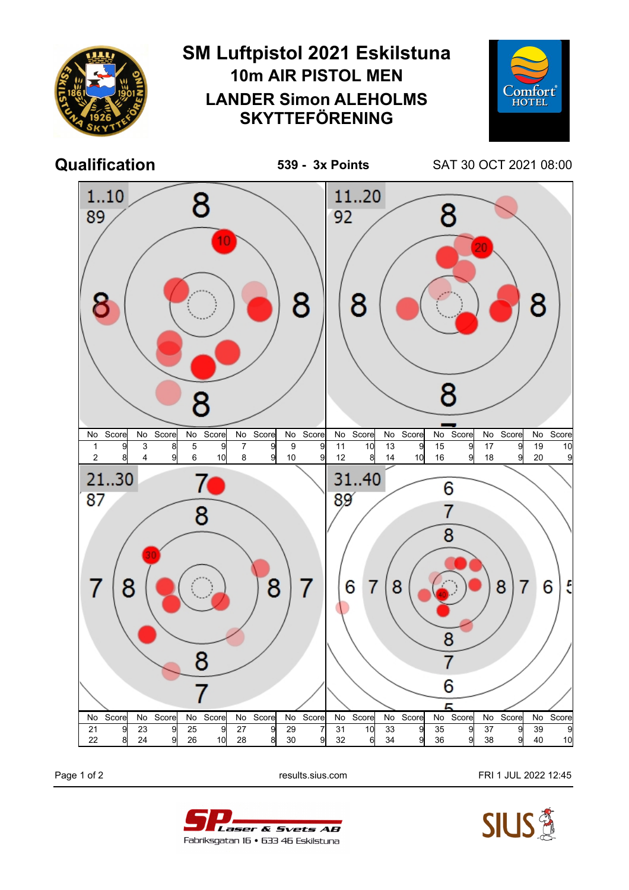

Page 1 of 2 **Page 1 of 2** results.sius.com **FRI 1 JUL 2022 12:45**